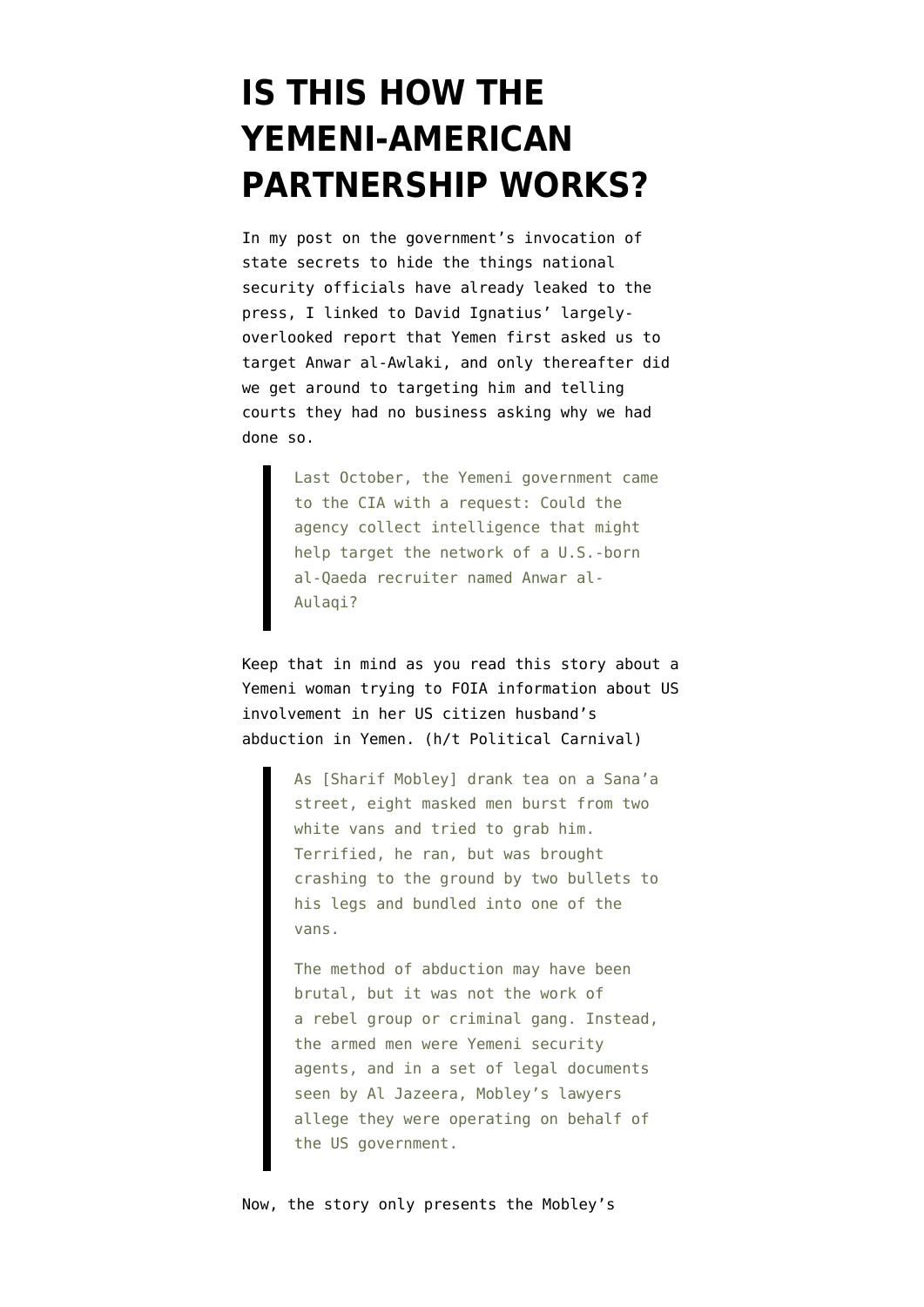## **[IS THIS HOW THE](https://www.emptywheel.net/2010/09/27/is-this-how-the-yemeni-american-partnership-works/) [YEMENI-AMERICAN](https://www.emptywheel.net/2010/09/27/is-this-how-the-yemeni-american-partnership-works/) [PARTNERSHIP WORKS?](https://www.emptywheel.net/2010/09/27/is-this-how-the-yemeni-american-partnership-works/)**

In my [post on the government's invocation of](http://emptywheel.firedoglake.com/2010/09/26/the-secrets-theyre-keeping-selectively-leaking-about-anwar-al-awlaki/) [state secrets](http://emptywheel.firedoglake.com/2010/09/26/the-secrets-theyre-keeping-selectively-leaking-about-anwar-al-awlaki/) to hide the things national security officials have already leaked to the press, I linked to [David Ignatius' largely](http://www.washingtonpost.com/wp-dyn/content/article/2010/03/25/AR2010032503634.html)[overlooked report](http://www.washingtonpost.com/wp-dyn/content/article/2010/03/25/AR2010032503634.html) that Yemen first asked us to target Anwar al-Awlaki, and only thereafter did we get around to targeting him and telling courts they had no business asking why we had done so.

> Last October, the Yemeni government came to the CIA with a request: Could the agency collect intelligence that might help target the network of a U.S.-born al-Qaeda recruiter named Anwar al-Aulaqi?

Keep that in mind as you read [this story](http://english.aljazeera.net/indepth/2010/09/2010917195419241717.html) about a Yemeni woman trying to FOIA information about US involvement in her US citizen husband's abduction in Yemen. (h/t [Political Carnival](http://emptywheel.firedoglake.com/2010/09/26/the-secrets-theyre-keeping-selectively-leaking-about-anwar-al-awlaki/))

> As [Sharif Mobley] drank tea on a Sana'a street, eight masked men burst from two white vans and tried to grab him. Terrified, he ran, but was brought crashing to the ground by two bullets to his legs and bundled into one of the vans.

> The method of abduction may have been brutal, but it was not the work of a rebel group or criminal gang. Instead, the armed men were Yemeni security agents, and in a set of legal documents seen by Al Jazeera, Mobley's lawyers allege they were operating on behalf of the US government.

Now, the story only presents the Mobley's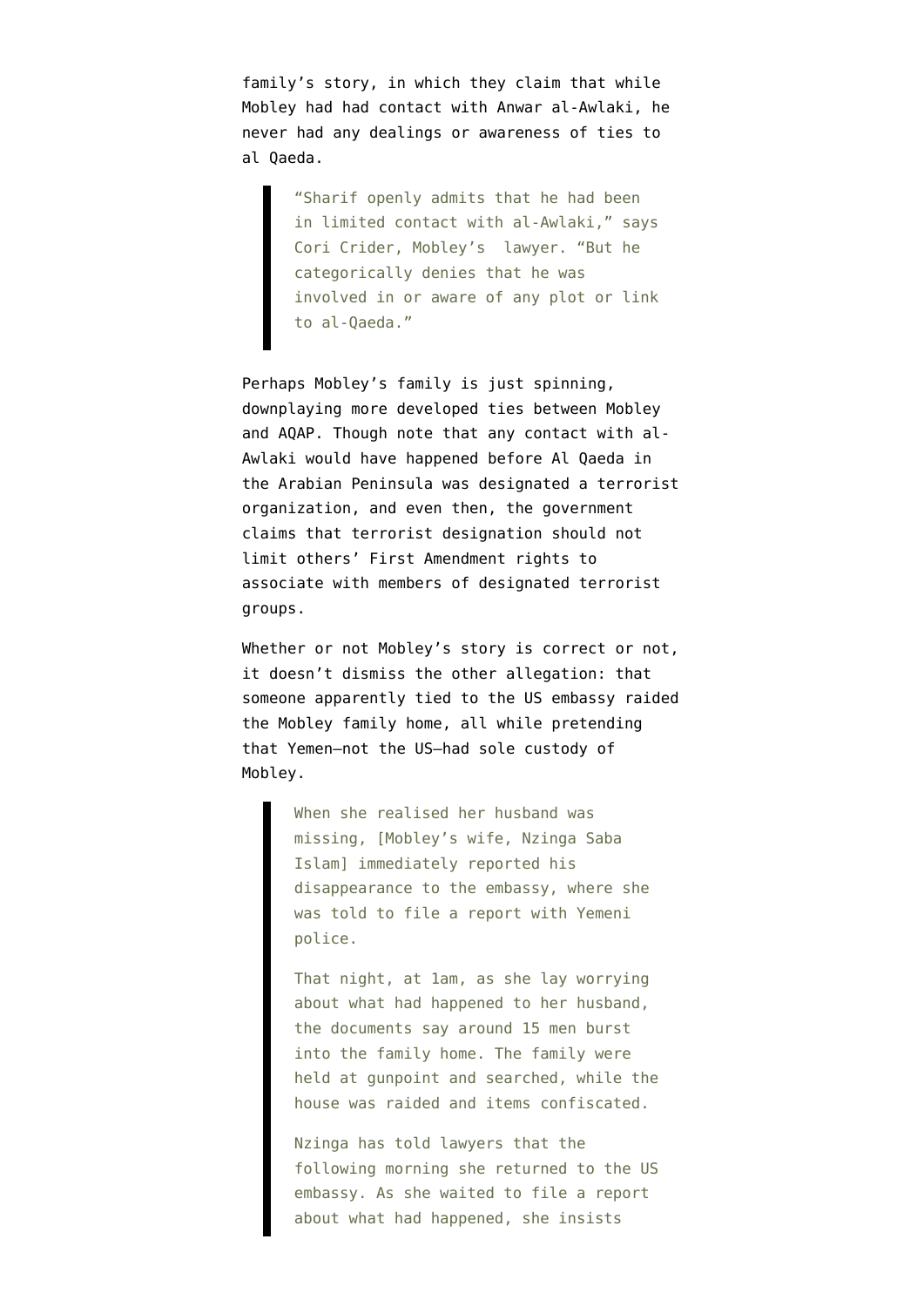family's story, in which they claim that while Mobley had had contact with Anwar al-Awlaki, he never had any dealings or awareness of ties to al Qaeda.

> "Sharif openly admits that he had been in limited contact with al-Awlaki," says Cori Crider, Mobley's lawyer. "But he categorically denies that he was involved in or aware of any plot or link to al-Qaeda."

Perhaps Mobley's family is just spinning, downplaying more developed ties between Mobley and AQAP. Though note that any contact with al-Awlaki would have happened before Al Qaeda in the Arabian Peninsula was designated a terrorist organization, and even then, the government claims that terrorist designation should not limit others' First Amendment rights to associate with members of designated terrorist groups.

Whether or not Mobley's story is correct or not, it doesn't dismiss the other allegation: that someone apparently tied to the US embassy raided the Mobley family home, all while pretending that Yemen–not the US–had sole custody of Mobley.

> When she realised her husband was missing, [Mobley's wife, Nzinga Saba Islam] immediately reported his disappearance to the embassy, where she was told to file a report with Yemeni police.

That night, at 1am, as she lay worrying about what had happened to her husband, the documents say around 15 men burst into the family home. The family were held at gunpoint and searched, while the house was raided and items confiscated.

Nzinga has told lawyers that the following morning she returned to the US embassy. As she waited to file a report about what had happened, she insists